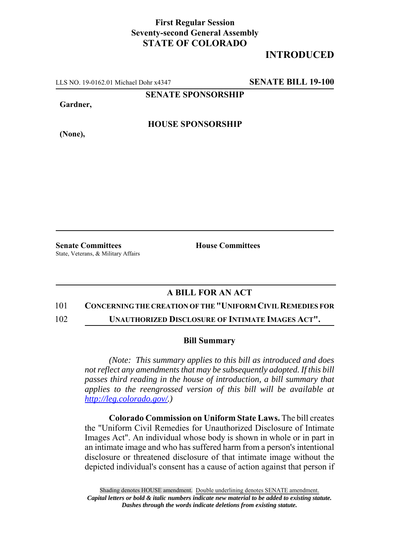## **First Regular Session Seventy-second General Assembly STATE OF COLORADO**

# **INTRODUCED**

LLS NO. 19-0162.01 Michael Dohr x4347 **SENATE BILL 19-100**

**SENATE SPONSORSHIP**

**Gardner,**

**HOUSE SPONSORSHIP**

**(None),**

**Senate Committees House Committees** State, Veterans, & Military Affairs

### **A BILL FOR AN ACT**

#### 101 **CONCERNING THE CREATION OF THE "UNIFORM CIVIL REMEDIES FOR**

102 **UNAUTHORIZED DISCLOSURE OF INTIMATE IMAGES ACT".**

#### **Bill Summary**

*(Note: This summary applies to this bill as introduced and does not reflect any amendments that may be subsequently adopted. If this bill passes third reading in the house of introduction, a bill summary that applies to the reengrossed version of this bill will be available at http://leg.colorado.gov/.)*

**Colorado Commission on Uniform State Laws.** The bill creates the "Uniform Civil Remedies for Unauthorized Disclosure of Intimate Images Act". An individual whose body is shown in whole or in part in an intimate image and who has suffered harm from a person's intentional disclosure or threatened disclosure of that intimate image without the depicted individual's consent has a cause of action against that person if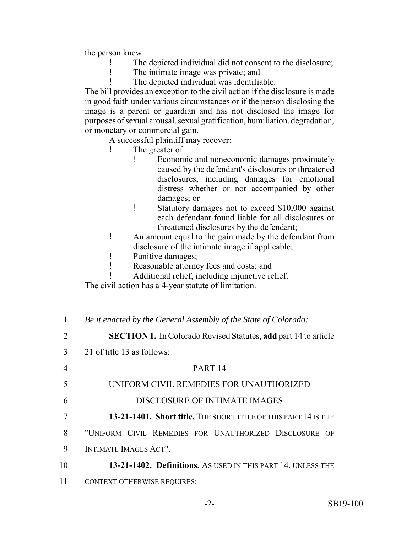the person knew:

- The depicted individual did not consent to the disclosure;
- The intimate image was private; and
	- The depicted individual was identifiable.

The bill provides an exception to the civil action if the disclosure is made in good faith under various circumstances or if the person disclosing the image is a parent or guardian and has not disclosed the image for purposes of sexual arousal, sexual gratification, humiliation, degradation, or monetary or commercial gain.

A successful plaintiff may recover:

- ! The greater of:
	- ! Economic and noneconomic damages proximately caused by the defendant's disclosures or threatened disclosures, including damages for emotional distress whether or not accompanied by other damages; or
	- ! Statutory damages not to exceed \$10,000 against each defendant found liable for all disclosures or threatened disclosures by the defendant;
- ! An amount equal to the gain made by the defendant from disclosure of the intimate image if applicable;
- ! Punitive damages;
- ! Reasonable attorney fees and costs; and
- ! Additional relief, including injunctive relief.

The civil action has a 4-year statute of limitation.

| 1  | Be it enacted by the General Assembly of the State of Colorado:        |
|----|------------------------------------------------------------------------|
| 2  | <b>SECTION 1.</b> In Colorado Revised Statutes, add part 14 to article |
| 3  | 21 of title 13 as follows:                                             |
| 4  | PART <sub>14</sub>                                                     |
| 5  | UNIFORM CIVIL REMEDIES FOR UNAUTHORIZED                                |
| 6  | DISCLOSURE OF INTIMATE IMAGES                                          |
| 7  | 13-21-1401. Short title. THE SHORT TITLE OF THIS PART 14 IS THE        |
| 8  | "UNIFORM CIVIL REMEDIES FOR UNAUTHORIZED DISCLOSURE OF                 |
| 9  | INTIMATE IMAGES ACT".                                                  |
| 10 | 13-21-1402. Definitions. AS USED IN THIS PART 14, UNLESS THE           |
| 11 | <b>CONTEXT OTHERWISE REQUIRES:</b>                                     |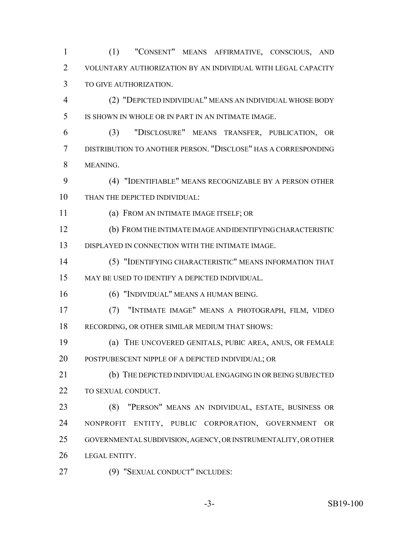(1) "CONSENT" MEANS AFFIRMATIVE, CONSCIOUS, AND VOLUNTARY AUTHORIZATION BY AN INDIVIDUAL WITH LEGAL CAPACITY TO GIVE AUTHORIZATION.

 (2) "DEPICTED INDIVIDUAL" MEANS AN INDIVIDUAL WHOSE BODY IS SHOWN IN WHOLE OR IN PART IN AN INTIMATE IMAGE.

 (3) "DISCLOSURE" MEANS TRANSFER, PUBLICATION, OR DISTRIBUTION TO ANOTHER PERSON. "DISCLOSE" HAS A CORRESPONDING MEANING.

 (4) "IDENTIFIABLE" MEANS RECOGNIZABLE BY A PERSON OTHER THAN THE DEPICTED INDIVIDUAL:

(a) FROM AN INTIMATE IMAGE ITSELF; OR

 (b) FROM THE INTIMATE IMAGE AND IDENTIFYING CHARACTERISTIC DISPLAYED IN CONNECTION WITH THE INTIMATE IMAGE.

 (5) "IDENTIFYING CHARACTERISTIC" MEANS INFORMATION THAT MAY BE USED TO IDENTIFY A DEPICTED INDIVIDUAL.

(6) "INDIVIDUAL" MEANS A HUMAN BEING.

 (7) "INTIMATE IMAGE" MEANS A PHOTOGRAPH, FILM, VIDEO RECORDING, OR OTHER SIMILAR MEDIUM THAT SHOWS:

 (a) THE UNCOVERED GENITALS, PUBIC AREA, ANUS, OR FEMALE POSTPUBESCENT NIPPLE OF A DEPICTED INDIVIDUAL; OR

 (b) THE DEPICTED INDIVIDUAL ENGAGING IN OR BEING SUBJECTED TO SEXUAL CONDUCT.

 (8) "PERSON" MEANS AN INDIVIDUAL, ESTATE, BUSINESS OR NONPROFIT ENTITY, PUBLIC CORPORATION, GOVERNMENT OR GOVERNMENTAL SUBDIVISION, AGENCY, OR INSTRUMENTALITY, OR OTHER LEGAL ENTITY.

(9) "SEXUAL CONDUCT" INCLUDES:

-3- SB19-100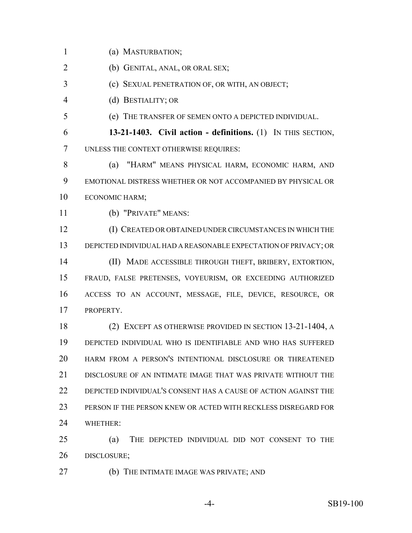(a) MASTURBATION;

(b) GENITAL, ANAL, OR ORAL SEX;

(c) SEXUAL PENETRATION OF, OR WITH, AN OBJECT;

(d) BESTIALITY; OR

(e) THE TRANSFER OF SEMEN ONTO A DEPICTED INDIVIDUAL.

 **13-21-1403. Civil action - definitions.** (1) IN THIS SECTION, UNLESS THE CONTEXT OTHERWISE REQUIRES:

 (a) "HARM" MEANS PHYSICAL HARM, ECONOMIC HARM, AND EMOTIONAL DISTRESS WHETHER OR NOT ACCOMPANIED BY PHYSICAL OR ECONOMIC HARM;

(b) "PRIVATE" MEANS:

 (I) CREATED OR OBTAINED UNDER CIRCUMSTANCES IN WHICH THE DEPICTED INDIVIDUAL HAD A REASONABLE EXPECTATION OF PRIVACY; OR (II) MADE ACCESSIBLE THROUGH THEFT, BRIBERY, EXTORTION, FRAUD, FALSE PRETENSES, VOYEURISM, OR EXCEEDING AUTHORIZED ACCESS TO AN ACCOUNT, MESSAGE, FILE, DEVICE, RESOURCE, OR PROPERTY.

 (2) EXCEPT AS OTHERWISE PROVIDED IN SECTION 13-21-1404, A DEPICTED INDIVIDUAL WHO IS IDENTIFIABLE AND WHO HAS SUFFERED HARM FROM A PERSON'S INTENTIONAL DISCLOSURE OR THREATENED DISCLOSURE OF AN INTIMATE IMAGE THAT WAS PRIVATE WITHOUT THE DEPICTED INDIVIDUAL'S CONSENT HAS A CAUSE OF ACTION AGAINST THE PERSON IF THE PERSON KNEW OR ACTED WITH RECKLESS DISREGARD FOR WHETHER:

 (a) THE DEPICTED INDIVIDUAL DID NOT CONSENT TO THE DISCLOSURE;

(b) THE INTIMATE IMAGE WAS PRIVATE; AND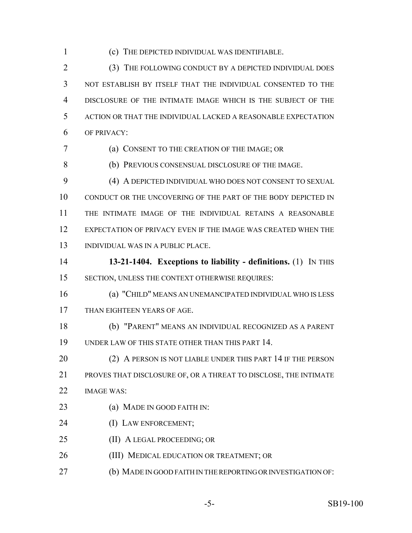(c) THE DEPICTED INDIVIDUAL WAS IDENTIFIABLE.

 (3) THE FOLLOWING CONDUCT BY A DEPICTED INDIVIDUAL DOES NOT ESTABLISH BY ITSELF THAT THE INDIVIDUAL CONSENTED TO THE DISCLOSURE OF THE INTIMATE IMAGE WHICH IS THE SUBJECT OF THE ACTION OR THAT THE INDIVIDUAL LACKED A REASONABLE EXPECTATION OF PRIVACY:

(a) CONSENT TO THE CREATION OF THE IMAGE; OR

(b) PREVIOUS CONSENSUAL DISCLOSURE OF THE IMAGE.

 (4) A DEPICTED INDIVIDUAL WHO DOES NOT CONSENT TO SEXUAL CONDUCT OR THE UNCOVERING OF THE PART OF THE BODY DEPICTED IN THE INTIMATE IMAGE OF THE INDIVIDUAL RETAINS A REASONABLE EXPECTATION OF PRIVACY EVEN IF THE IMAGE WAS CREATED WHEN THE INDIVIDUAL WAS IN A PUBLIC PLACE.

 **13-21-1404. Exceptions to liability - definitions.** (1) IN THIS SECTION, UNLESS THE CONTEXT OTHERWISE REQUIRES:

 (a) "CHILD" MEANS AN UNEMANCIPATED INDIVIDUAL WHO IS LESS THAN EIGHTEEN YEARS OF AGE.

 (b) "PARENT" MEANS AN INDIVIDUAL RECOGNIZED AS A PARENT UNDER LAW OF THIS STATE OTHER THAN THIS PART 14.

20 (2) A PERSON IS NOT LIABLE UNDER THIS PART 14 IF THE PERSON PROVES THAT DISCLOSURE OF, OR A THREAT TO DISCLOSE, THE INTIMATE IMAGE WAS:

- **(a) MADE IN GOOD FAITH IN:**
- (I) LAW ENFORCEMENT;
- 25 (II) A LEGAL PROCEEDING; OR
- **(III) MEDICAL EDUCATION OR TREATMENT; OR**
- (b) MADE IN GOOD FAITH IN THE REPORTING OR INVESTIGATION OF: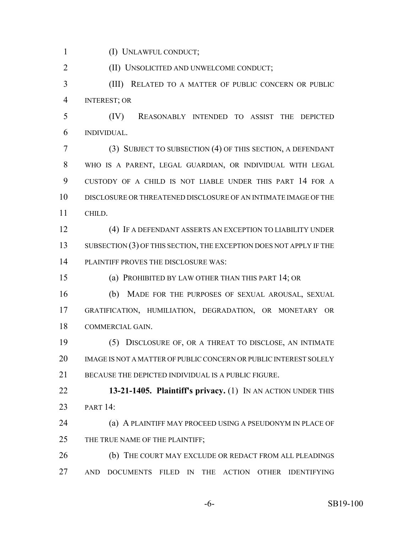(I) UNLAWFUL CONDUCT;

(II) UNSOLICITED AND UNWELCOME CONDUCT;

 (III) RELATED TO A MATTER OF PUBLIC CONCERN OR PUBLIC INTEREST; OR

 (IV) REASONABLY INTENDED TO ASSIST THE DEPICTED INDIVIDUAL.

 (3) SUBJECT TO SUBSECTION (4) OF THIS SECTION, A DEFENDANT WHO IS A PARENT, LEGAL GUARDIAN, OR INDIVIDUAL WITH LEGAL CUSTODY OF A CHILD IS NOT LIABLE UNDER THIS PART 14 FOR A DISCLOSURE OR THREATENED DISCLOSURE OF AN INTIMATE IMAGE OF THE CHILD.

 (4) IF A DEFENDANT ASSERTS AN EXCEPTION TO LIABILITY UNDER 13 SUBSECTION (3) OF THIS SECTION, THE EXCEPTION DOES NOT APPLY IF THE PLAINTIFF PROVES THE DISCLOSURE WAS:

(a) PROHIBITED BY LAW OTHER THAN THIS PART 14; OR

 (b) MADE FOR THE PURPOSES OF SEXUAL AROUSAL, SEXUAL GRATIFICATION, HUMILIATION, DEGRADATION, OR MONETARY OR COMMERCIAL GAIN.

 (5) DISCLOSURE OF, OR A THREAT TO DISCLOSE, AN INTIMATE 20 IMAGE IS NOT A MATTER OF PUBLIC CONCERN OR PUBLIC INTEREST SOLELY 21 BECAUSE THE DEPICTED INDIVIDUAL IS A PUBLIC FIGURE.

 **13-21-1405. Plaintiff's privacy.** (1) IN AN ACTION UNDER THIS 23 PART :

 (a) A PLAINTIFF MAY PROCEED USING A PSEUDONYM IN PLACE OF 25 THE TRUE NAME OF THE PLAINTIFF;

26 (b) THE COURT MAY EXCLUDE OR REDACT FROM ALL PLEADINGS AND DOCUMENTS FILED IN THE ACTION OTHER IDENTIFYING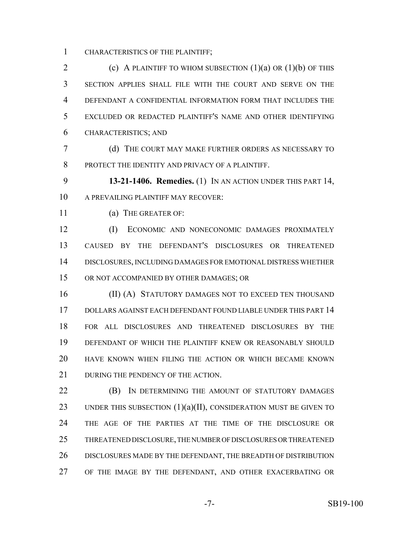CHARACTERISTICS OF THE PLAINTIFF;

2 (c) A PLAINTIFF TO WHOM SUBSECTION  $(1)(a)$  OR  $(1)(b)$  OF THIS SECTION APPLIES SHALL FILE WITH THE COURT AND SERVE ON THE DEFENDANT A CONFIDENTIAL INFORMATION FORM THAT INCLUDES THE EXCLUDED OR REDACTED PLAINTIFF'S NAME AND OTHER IDENTIFYING CHARACTERISTICS; AND

 (d) THE COURT MAY MAKE FURTHER ORDERS AS NECESSARY TO PROTECT THE IDENTITY AND PRIVACY OF A PLAINTIFF.

 **13-21-1406. Remedies.** (1) IN AN ACTION UNDER THIS PART 14, 10 A PREVAILING PLAINTIFF MAY RECOVER:

(a) THE GREATER OF:

 (I) ECONOMIC AND NONECONOMIC DAMAGES PROXIMATELY CAUSED BY THE DEFENDANT'S DISCLOSURES OR THREATENED DISCLOSURES, INCLUDING DAMAGES FOR EMOTIONAL DISTRESS WHETHER OR NOT ACCOMPANIED BY OTHER DAMAGES; OR

**(II) (A) STATUTORY DAMAGES NOT TO EXCEED TEN THOUSAND**  DOLLARS AGAINST EACH DEFENDANT FOUND LIABLE UNDER THIS PART 14 FOR ALL DISCLOSURES AND THREATENED DISCLOSURES BY THE DEFENDANT OF WHICH THE PLAINTIFF KNEW OR REASONABLY SHOULD HAVE KNOWN WHEN FILING THE ACTION OR WHICH BECAME KNOWN 21 DURING THE PENDENCY OF THE ACTION.

**(B)** IN DETERMINING THE AMOUNT OF STATUTORY DAMAGES 23 UNDER THIS SUBSECTION  $(1)(a)(II)$ , CONSIDERATION MUST BE GIVEN TO THE AGE OF THE PARTIES AT THE TIME OF THE DISCLOSURE OR THREATENED DISCLOSURE, THE NUMBER OF DISCLOSURES OR THREATENED DISCLOSURES MADE BY THE DEFENDANT, THE BREADTH OF DISTRIBUTION OF THE IMAGE BY THE DEFENDANT, AND OTHER EXACERBATING OR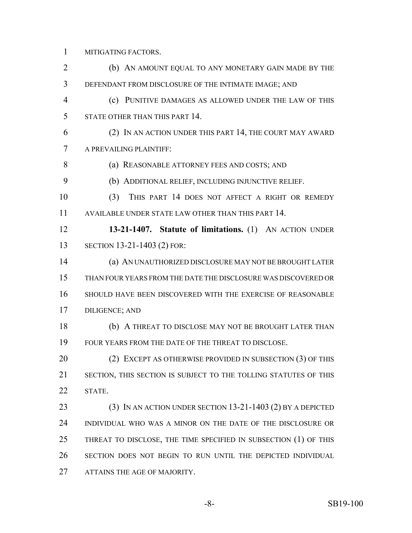MITIGATING FACTORS.

 (b) AN AMOUNT EQUAL TO ANY MONETARY GAIN MADE BY THE DEFENDANT FROM DISCLOSURE OF THE INTIMATE IMAGE; AND (c) PUNITIVE DAMAGES AS ALLOWED UNDER THE LAW OF THIS STATE OTHER THAN THIS PART 14. (2) IN AN ACTION UNDER THIS PART 14, THE COURT MAY AWARD A PREVAILING PLAINTIFF: (a) REASONABLE ATTORNEY FEES AND COSTS; AND (b) ADDITIONAL RELIEF, INCLUDING INJUNCTIVE RELIEF. (3) THIS PART 14 DOES NOT AFFECT A RIGHT OR REMEDY AVAILABLE UNDER STATE LAW OTHER THAN THIS PART 14. **13-21-1407. Statute of limitations.** (1) AN ACTION UNDER SECTION 13-21-1403 (2) FOR: (a) AN UNAUTHORIZED DISCLOSURE MAY NOT BE BROUGHT LATER THAN FOUR YEARS FROM THE DATE THE DISCLOSURE WAS DISCOVERED OR SHOULD HAVE BEEN DISCOVERED WITH THE EXERCISE OF REASONABLE DILIGENCE; AND (b) A THREAT TO DISCLOSE MAY NOT BE BROUGHT LATER THAN FOUR YEARS FROM THE DATE OF THE THREAT TO DISCLOSE. 20 (2) EXCEPT AS OTHERWISE PROVIDED IN SUBSECTION (3) OF THIS SECTION, THIS SECTION IS SUBJECT TO THE TOLLING STATUTES OF THIS STATE. (3) IN AN ACTION UNDER SECTION 13-21-1403 (2) BY A DEPICTED INDIVIDUAL WHO WAS A MINOR ON THE DATE OF THE DISCLOSURE OR 25 THREAT TO DISCLOSE, THE TIME SPECIFIED IN SUBSECTION (1) OF THIS SECTION DOES NOT BEGIN TO RUN UNTIL THE DEPICTED INDIVIDUAL ATTAINS THE AGE OF MAJORITY.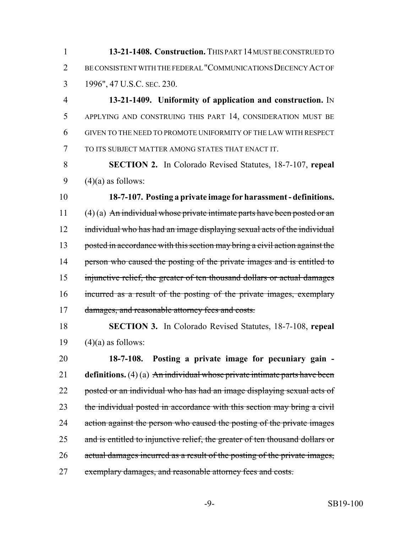1 **13-21-1408. Construction.** THIS PART 14 MUST BE CONSTRUED TO 2 BE CONSISTENT WITH THE FEDERAL "COMMUNICATIONS DECENCY ACT OF 3 1996", 47 U.S.C. SEC. 230.

 **13-21-1409. Uniformity of application and construction.** IN APPLYING AND CONSTRUING THIS PART 14, CONSIDERATION MUST BE GIVEN TO THE NEED TO PROMOTE UNIFORMITY OF THE LAW WITH RESPECT TO ITS SUBJECT MATTER AMONG STATES THAT ENACT IT.

8 **SECTION 2.** In Colorado Revised Statutes, 18-7-107, **repeal** 9  $(4)(a)$  as follows:

10 **18-7-107. Posting a private image for harassment - definitions.** 11  $(4)$  (a) An individual whose private intimate parts have been posted or an 12 individual who has had an image displaying sexual acts of the individual 13 posted in accordance with this section may bring a civil action against the 14 person who caused the posting of the private images and is entitled to 15 injunctive relief, the greater of ten thousand dollars or actual damages 16 incurred as a result of the posting of the private images, exemplary 17 damages, and reasonable attorney fees and costs.

18 **SECTION 3.** In Colorado Revised Statutes, 18-7-108, **repeal** 19  $(4)(a)$  as follows:

20 **18-7-108. Posting a private image for pecuniary gain -** 21 **definitions.** (4) (a) An individual whose private intimate parts have been 22 posted or an individual who has had an image displaying sexual acts of 23 the individual posted in accordance with this section may bring a civil 24 action against the person who caused the posting of the private images 25 and is entitled to injunctive relief, the greater of ten thousand dollars or 26 actual damages incurred as a result of the posting of the private images, 27 exemplary damages, and reasonable attorney fees and costs.